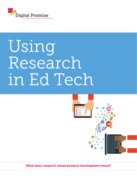

# Using Research in Ed Tech



What does research-based product development mean?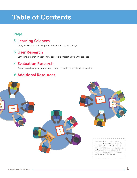# Table of Contents

## Page

## **3 Learning Sciences**

Using research on how people learn to inform product design

## User Research 6

Gathering information about how people are interacting with the product

## Evaluation Research 7

Determining how your product contributes to solving a problem in education

## 9 Additional Resources

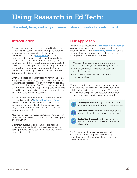# Using Research in Ed Tech:

## The what, how, and why of research-based product development

## Introduction

Demand for educational technology (ed tech) products is growing, but purchasers often struggle to determine which products are going to help them meet their learning objectives. In a recent study of ed tech developers, 90 perce[nt reported that th](http://www.digitalpromise.org/blog/entry/improving-ed-tech-purchasing)eir products are "informed by research." But it's not always clear to purchasers what the research was and how to evaluate it. For ed tech developers, this lack of clarity can impede the development of powerful solutions that benefit learners, and the ability to take advantage of this fastgrowing market opportunity.

What are ed tech purchasers looking for? In the same study, one K-12 technology director said he looks for "standardized, research-proven ways that we can say, 'This is the positive impact' or 'This is how we calculate a return on investment'... [to] explain, justify, rationalize, defend to our community, to our parents, [and] to our board the value of their investment."

A useful resource [for ed tech developers in meeting](http://tech.ed.gov/developers-guide/) this need is the 2015 "Ed Tech Developer's Guide" from the U.S. Department of Education Office of Education Technology (OET). The guide provides insight and recommendations for research-based product development.

Also valuable are real-world examples of how ed tech developers use research to inform product development and evaluation.

Ultimately, guidelines and examples are needed to help companies develop and evaluate researchbased products, and to educate consumers so they make better decisions.

## Our Approach

Digital Promise recently ran a **[crowdsourcing campaign](http://www.digitalpromise.org/blog/entry/developers-share-the-science-behind-your-product)** asking developers to share the science behind their products. We heard from **[nearly fifty companies](http://www.digitalpromise.org/gallery/how-developers-put-research-to-work)** about the what, how, and why of research-based product development. We asked questions like:

- What scientific research on learning informs your product design, and where do you find it?
- How do you conduct research on usability and effectiveness?
- Why is research beneficial to you and/or your stakeholders?

We also talked to researchers and thought leaders in education to get a sense of what they look for in collaborations with ed tech companies. Three main ways in which companies use research throughout product development and evaluation emerged:



Learning Sciences: using scientific research on how people learn to inform product design.



**User Research:** gathering information about how people are interacting with the product.



**Evaluation Research:** determining how a product contributes to solving a problem in education.

The following guide provides recommendations and examples from companies on how they use these three types of research in the development of ed tech products.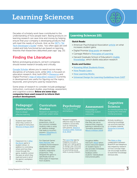# Learning Sciences



Decades of scholarly work have contributed to the understanding of how people learn. Basing products on learning research can save time and money by helping ensure that your company is developing products that will meet the needs of schools. And, as the **OET's "Ed** [Tech Developer's Guide](http://tech.ed.gov/developers-guide/)" notes, "too often apps are well coded and fully functional but are based on learning theories that researchers debunked years ago" (pg. 21).

## Finding the Literature

Before prototyping products, ed tech companies should review research broadly and critically.

[Google Scholar](https://scholar.google.com) allows you to search across many disciplines of scholarly work, while **[ERIC](http://eric.ed.gov)** is focused on education research. And, both ERIC's [thesaurus](http://eric.ed.gov/?ti=all) and Digital Promise's **[map of education research](http://researchmap.digitalpromise.org)** (currently in development) are useful for figuring out the topics, keywords, and synonyms used by researchers.

Some areas of research to consider include pedagogy/ instruction, curriculum studies, psychology, assessment, and cognitive science. **Below are some ways** 

companies have used research to inform their product development.

### Learning Sciences 101

#### Quick Reads:

- American Psychological Association **[article](https://www.apa.org/monitor/2011/07-08/ce-learning.aspx)** on what increases student gains
- Digital Promise **[blog posts](http://www.digitalpromise.org/blog?category=research)** on research
- Carnegie Mellon's **[Principles of Learning](https://www.cmu.edu/teaching/principles/learning.html)**
- Harvard Graduate School of Education's Usable [Knowledge](https://www.gse.harvard.edu/uk), which distills education research

#### Books and Guides:

- [Knowing What Students Know](http://www.nap.edu/read/10019/chapter/1)
- How People Learn
- [How Learning Works](http://www.wiley.com/WileyCDA/WileyTitle/productCd-0470484101.html)
- [Universal Design for Learning Guidelines from CAST](http://www.cast.org/our-work/about-udl.html#.VhX1TNYbvdv)

|                              | Pedagogy/<br>Instruction<br>How to design<br>effective learning                                                                                                                                                                                             | <b>Curriculum</b><br><b>Studies</b><br>Research on learning in<br>particular subject areas                                                                                                                                                                             | Psychology<br>The study of mind<br>and behavior                                                                                                                                   | <b>Assessment</b><br>Knowledge on<br>measuring student<br>outcomes                                                                                                                                                                  | <b>Cognitive</b><br><b>Science</b><br>An interdisciplinary field<br>studying the mind and<br>mental processes                                                                                 |
|------------------------------|-------------------------------------------------------------------------------------------------------------------------------------------------------------------------------------------------------------------------------------------------------------|------------------------------------------------------------------------------------------------------------------------------------------------------------------------------------------------------------------------------------------------------------------------|-----------------------------------------------------------------------------------------------------------------------------------------------------------------------------------|-------------------------------------------------------------------------------------------------------------------------------------------------------------------------------------------------------------------------------------|-----------------------------------------------------------------------------------------------------------------------------------------------------------------------------------------------|
| FINDING<br>RESEARCH          | Students learn better<br>when they control of<br>the speed of instruction.<br>(Moreno & Mayer 2007)                                                                                                                                                         | When learning<br>proportions, one of<br>the common mistakes<br>students make is using<br>an "additive strategy"<br>that leads to incorrect<br>answers. (Misailidou &<br>Williams 2003)                                                                                 | Research suggests<br>effective ways to build<br>children's social skills.<br>such as interacting<br>with parents. (Elliott &<br>Gresham 1993: Feldman<br>et al. 2013)             | Giving students feedback<br>that they can use to<br>improve their ongoing<br>learning is referred to as<br>"formative assessment."<br>(Black & William 2009)                                                                        | Actively recalling or<br>retrieving knowledge<br>can promote learning<br>of complex material.<br>(Karpicke & Grimaldi<br>2012                                                                 |
| APPLIED<br>BEING<br>HOW IT'S | Classroom Inc.'s After<br>the Storm game is<br>student-driven In<br>addition to controlling<br>where and how they<br>move through the<br>game, students control<br>the pace at which they<br>read and work in all of<br>the game's workplace<br>activities. | For GlassLab Games'<br><b>Ratio Rancher</b> , the<br>company found research<br>studies that included<br>descriptions of how<br>students understand<br>proportions. They<br>designed the game to<br>specifically look for<br>these types of responses<br>from students. | The Leo's Pad app by<br>Kidaptive includes a<br>single turn-taking game.<br>Its design was informed<br>by psychology research<br>on promoting social<br>skills in young children. | <b>Houghton Mifflin</b><br>Harcourt's <b>iRead</b> tailors<br>future instruction based<br>on student inputs. It<br>also provides immediate<br>and corrective<br>feedback within<br>students' individualized<br>instructional paths. | The Make-a-Map<br>collaboration between<br>BrainPOP and Ideaphora<br>was shaped by research<br>on how concept maps<br>can encourage students<br>to build their knowledge<br>retrieval skills. |

. . .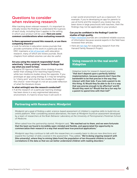## Questions to consider when reviewing research

After tracking down relevant research, it's important to critically review the findings to understand the nuances of each study, including how it applies to the setting in which your product will be used. Here are some common considerations when evaluating research:

#### Is there agreement around this research, or are there competing theories?

• Look for articles in education review journals that provide summaries of the work in a particular area. ERIC maintains a **[list of journals](http://eric.ed.gov/?journals)** with education research, many of which are review journals. Book chapters from edited volumes can also be useful.

#### Are you using the research responsibly? Avoid selectively "cherry picking" research findings that say what you want to hear.

• Imagine 20 rigorous studies show strategy A works better than strategy B for teaching trigonometry, while two mediocre studies show the opposite. If you prototype an app using strategy B, it may be tempting to "cherry pick" and cite the two studies that support this choice—even though it's not an accurate reflection of what the literature shows.

#### In what setting(s) was the research conducted?

• If all the research on a particular learning strategy has been done in a very regimented laboratory environment, it's hard to know how it will work in

a real-world environment such as a classroom. For example, if you're developing an app for parents to use at home and the research you review has only been done in large preschools with teachers, then the findings may not be applicable to your product.

#### Can you be confident in the findings? Look for studies of high quality.

- [Peer-reviewed](https://en.wikipedia.org/wiki/Peer_review#Scholarly_peer_review) journals are considered reliable sources of information because several experts in the field have reviewed their articles.
- Here are [ten tips](http://www.hfrp.org/evaluation/the-evaluation-exchange/issue-archive/public-communications-campaigns-and-evaluation/understanding-research-ten-tips) for evaluating research from the Harvard Family Research Project.

### Using research in the real world: Kidaptive

Kidaptive looks for research-based practices "that don't depend upon a perfectly faithful implementation, because parents don't have the bandwidth to be that precise in the way they interact with their kids. If you told a parent to do this thing: A) Would they be able to do it in a way that was precise enough to be effective? and B) Would they want to? Would that be a fun way for a parent to spend time with their kid?"

## Partnering with Researchers: Mindprint

Mindprint set a goal of finding a valid, science-based assessment of children's cognitive skills to build into an online platform. After considering several alternatives, the team at Mindprint found an assessment developed by a team of researchers at the Brain Behavior Laboratory at the University of Pennsylvania's Perelman School of Medicine.

When asked how the partnership started, Mindprint said, "We reached out to them, and we were fortunate that the team we found is incredibly open-minded and flexible, and appreciated the opportunity to commercialize their research in a way that would have true practical applications."

Mindprint says they continue to talk with the researchers on a weekly basis to discuss new directions and expand the number of skills covered in the assessment. They added, "We're doing ongoing research with [the university], where they're mining [data from] the population of ten thousand children to look for correlations in the data so that we can better understand children with reading disorders."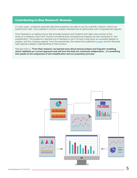#### Contributing to New Research: Newsela

In some cases, companies generate data that academics are able to use for scientific research, which can benefit both sides. One example is ed tech company Newsela and its partnership with computational linguists.

Since Newsela is a reading service that provides teachers and students with daily news articles at five levels of complexity, their work involves something that computational linguists are also interested in: text simplification. The academics reached out to Newsela to see if its texts could serve as a possible dataset to analyze, and the company agreed. From the partnership, the researchers published [a paper](https://tacl2013.cs.columbia.edu/ojs/index.php/tacl/article/view/549/131) and the Newsela team gained a deeper understanding of their product.

Newsela told us, "From their research, we learned more about textual analysis and linguistic modeling, which validated our current approach and will form the basis for continued collaboration... it's something that speaks to the uniqueness of text simplification and our proprietary process."

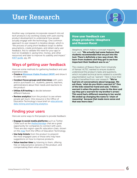## User Research



Another way companies incorporate research into ed tech products is by working closely with users during product development to understand how people actually engage with the technology. One common approach to user research is iterative design, which is "the process of using short feedback loops to define assumptions, create prototypes, and obtain early user feedback, first to validate the need for your app or tool (or invalidate it, saving time, money, and other [resources\) and](http://tech.ed.gov/developers-guide/) later to improve its usability and impact." (OET guide, pg. 24)

## Ways of getting user feedback

Here are some methods for gathering feedback and user experience data:

- Create a **Minimum Viable Product (MVP)** and show it to users early
- Conduct focus groups and interviews with users and/or purchasers (i.e., students, parents, teachers, administrators) about their needs and reactions to the product
- Utilize A/B testing to decide between different features
- Review analytics from the product to see where people get stuck. One resource is the Office of [Education Technology's issue brief on](https://tech.ed.gov/wp-content/uploads/2014/03/edm-la-brief.pdf) **educational** data mining and learning analytics.

## Finding your users

Here are some ways to find people to provide feedback:

- Engage in social media platforms such as Twitter. Chats such as the **[#edtechbridge](https://twitter.com/hashtag/EdChatBridge?src=hash)** chat are a great opportunity for companies to connect with users. There are also region-specific education chats, shown on this **[map](http://tech.ed.gov/ed-twitter-chats/)** from the Office of Education Technology.
- Use help tickets from the product to pinpoint the most engaged users or those who may have suggestions on how to improve products.
- Value teacher time by listening to them, offering free or reduced price versions of the product, and compensating them when possible.

### How user feedback can shape products: Ideaphora and Reason Racer

Ideaphora, which makes a concept mapping tool, said, "We actually had some features that students recommended that we put into the tool. There's definitely a two-way street. We learn from students and they got to see how important their feedback was to us."

The creators of Reason Racer from University of Kansas' ALTEC wanted to ensure students understood the product's tasks and questions, which included technical terms related to scientific argumentation such as "warrant." Here is how their product benefited from user research: "We've had lots of conversations about language. We ask them, 'what do you think a warrant is?' One of the kids raised her hand and said, 'I think a warrant is when the police come to the door and say they got a warrant for my brother's arrest.' This word had a different meaning in her world. We ended up changing the name to 'chain of reasoning' because that made more sense and that was more clear."

Using Research in Ed Tech **6 Container the Contact of Contact Contact Contact Contact Contact Contact Contact Contact Contact Contact Contact Contact Contact Contact Contact Contact Contact Contact Contact Contact Contact**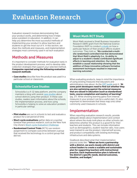# Evaluation Research

Evaluation research involves demonstrating that your product works, and determining how it helps solve a problem in education. In addition, it can help you determine the most successful methods of implementing your product to allow teachers and students to get the most out of it. In this section, we share the methods and measures, and implementation strategies most commonly used in ed tech evaluation.

## Methods and Measures

It's important to consider methods for evaluation early in the product development process, and to develop data collection strategies that support your selected method. Companies reported using the following evaluation research methods:

• Case studies describe how the product was used in a particular school or classroom.

## Schoolzilla Case Studies

Schoolzilla is a K-12 data platform, and the company maintains a blog with several **[case studies](http://blog.schoolzilla.org/topic/case-studies)** about school districts using their product. In these case studies, readers learn information about the schools, the implementation process, and how using Schoolzilla is helping to solve an education problem in particular settings.

- Pilot studies are run in schools to test and evaluate a product for a set period of time.
- **Short-cycle evaluations** gather data on a quicker timeline than previous research, such as the New York City iZone's **[Short-cycle Evaluation Challenge](https://www.edsurge.com/news/2015-03-04-silicon-valley-s-pursuit-of-proof)**.
- Randomized Control Trials (RCTs) use random assignment to compare outcomes between a group that received the technology to a control group that did not.

## Woot Math RCT Study

Woot Math received a Small Business Innovation Research (SBIR) grant from the National Science Foundation (NSF) to conduct **a study** on how a particular feature of their product affects student outcomes. They told us, "We conducted a multisite randomized controlled trial that demonstrated that Woot Math's adaptivity (i.e., its ability to adjust to a student's needs) contributed significant effects in learning and retention. Our results establish a causal relationship showing that the addition of these innovative software formative assessment techniques resulted in improved learning outcomes."

When evaluating products, keep in mind the importance of using existing measures that educators and administrators care about. As the **OET quide** puts it, "At some point developers need to find out whether they are also optimizing against the external measures that are valued in education (such as standardized tests, course completion and mastery of learning)" (pg. 27). While showing learning gains from internal measures in your product can be a useful start, it's also important to demonstrate that these map onto other commonly used measures in schools.

## Implementation

When reporting evaluation research results, provide adequate details about implementation and context about where the study took place so other schools can determine whether the product is a good fit for their teachers and students. This can include information such as demographics, student-teacher ratio, how users were trained to use the product, Internet/wifi access, and product compatibility with existing technology infrastructure and data systems.

Goalbook described what their implementation process looks like: "When we form a partnership with a district, we work closely with district and school leaders to create a scalable and sustainable plan for supporting teachers with instructional practice. Each implementation plan is tailored to the district's specific needs, desired outcomes, timeline, and budget."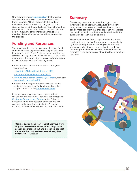One example of an [evaluation study](http://research.scholastic.com/sites/default/files/publications/iRead_ResearchUpdate_NapaCA_2014_1.pdf) that provides detailed information on implementation comes from Houghton Mifflin Harcourt. In this study of their iRead product, information is given on how students accessed the product and how staff members were trained to use it. Additionally, the study includes data from surveys of teachers and administrators that describes their experiences with implementing the product.

## Funding and Resources

Though evaluation can be expensive, there are funding and collaboration opportunities to support this work. In reference to the Small Business Innovation Research (SBIR) grant they received, Woot Math said, "I just can't recommend it enough… the proposal really forces you to think through what you're going to do."

- Small Business Innovation Research (SBIR) grant opportunities:
	- [Institute of Educational Sciences \(IES\)](http://ies.ed.gov/sbir/)
	- [National Science Foundation \(NSF\)](http://www.nsf.gov/eng/iip/sbir/home.jsp)
- [Institute of Education Sciences \(IES\) grants](http://ies.ed.gov/ncer/projects/program.asp?ProgID=10), including Investing in Innovation (13)
- Foundations doing work in education and related fields. One resource for finding foundations that support research is the [Foundation Center](http://foundationcenter.org/findfunders/fundingsources/fdo.html)

In some cases, academic researchers conduct evaluations as contractors, such as at Johns Hopkins' [Center for Research and Reform](http://education.jhu.edu/research/crre/Evaluation%20Services) in the School of Education. Third party research organizations also conduct evaluation studies, including American Institutes for Research (AIR), SRI, West Ed, and others.

"You get such a head start if you base your work off prior research because a lot of things have already been figured out and a lot of things that you would find out early on have already been discovered." - GlassLab

## Summary

Developing a new education technology product involves risk and uncertainty. However, developers using research to create and evaluate their products can be more confident that their approach will address real-world education problems, and make it easier for purchasers to reach that conclusion.

The ed tech companies we highlighted in this report continue to raise the bar for research-based products by incorporating the latest learning sciences insights, working closely with users, and collecting evidence that their product works. We hope the resources and examples in this guide inspire other developers to follow their lead.

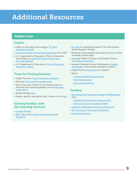# Additional Resources

## Helpful Links

#### Guides

- [Office of Education Technology's "](http://tech.ed.gov/developers-guide/)Ed Tech Developers Guide"
- [Universal Design for Learning Guidelines](http://www.cast.org/our-work/about-udl.html#.VhSuk9Ybvdu) from CAST
- U.S. Department of Education Office of Education Technology on [educational data mining and](https://tech.ed.gov/wp-content/uploads/2014/03/edm-la-brief.pdf)  learning analytics
- [U.S. Department of Education's](http://ptac.ed.gov) **Privacy Technical** Assistance Center

## Tools for Finding Partners

- Digital Promise's [map of education research](http://researchmap.digitalpromise.org)
- EdSurge's [list of ed tech conferences](https://www.edsurge.com/news/2015-06-03-edtech-conferences-you-need-to-know)
- Elon University's Center for the Advancement of [Teaching and Learning updates a list of](http://www.elon.edu/e-web/academics/teaching/conferences.xhtml) **education conferences**
- #edtechbridge [chat](https://twitter.com/EdTechBridge)
- Region-specific education chats, shown on this [map](http://tech.ed.gov/ed-twitter-chats/)

## Getting Familiar with the Learning Sciences

- [Google Scholar](https://scholar.google.com)
- [ERIC](http://eric.ed.gov), plus its [list of education journals](http://eric.ed.gov/?journals) and [thesaurus](http://eric.ed.gov/?ti=all)
- [Ten tips](http://www.hfrp.org/evaluation/the-evaluation-exchange/issue-archive/public-communications-campaigns-and-evaluation/understanding-research-ten-tips) for evaluating research from the Harvard Family Research Project
- American Psychological Association **[article](https://www.apa.org/monitor/2011/07-08/ce-learning.aspx)** on what increases student gains
- Carnegie Mellon's Theory and Research-Based [Principles of Learning](https://www.cmu.edu/teaching/principles/learning.html)
- Harvard Graduate School of Education's Usable [Knowledge](https://www.gse.harvard.edu/uk), which distills education research
- Digital Promise [blog posts](http://www.digitalpromise.org/blog?category=research) on research
- Books:
	- [Knowing What Students Know](http://www.nap.edu/read/10019/chapter/1)
	- How People Learn
	- [How Learning Works](http://www.wiley.com/WileyCDA/WileyTitle/productCd-0470484101.html)

#### Funding

- [Small Business Innovation Research \(SBIR\) grants](https://www.sbir.gov) from
	- [Institute of Educational Sciences \(IES\)](http://ies.ed.gov/sbir/)
- [National Science Foundation \(NSF\)](http://www.nsf.gov/eng/iip/sbir/home.jsp)
- [Institute of Education Sciences \(IES\) grants](http://ies.ed.gov/ncer/projects/program.asp?ProgID=10)
- [IES' Investing in Innovation \(I3\) grants](http://www2.ed.gov/programs/innovation/index.html)
- [Foundation Center](http://foundationcenter.org/findfunders/fundingsources/fdo.html)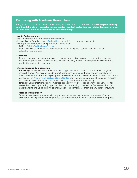#### Partnering with Academic Researchers

Many ed tech companies benefit from working with researchers. Academics can serve on your advisory board, collaborate on research projects, conduct product evaluation, provide feedback on an idea, or share more detailed information on research findings.

#### How to find academics:

- Review research literature for author information
- Explore Digital Promise's [map of education research](http://researchmap.digitalpromise.org) (currently in development)
- Participate in conferences and professional associations - EdSurge's [list of ed tech conferences](https://www.edsurge.com/news/2015-06-03-edtech-conferences-you-need-to-know)
	- Elon University's Center for the Advancement of Teaching and Learning updates a list of [education conferences](http://www.elon.edu/e-web/academics/teaching/conferences.xhtml)

#### • Timelines

- Researchers have varying amounts of time for work on outside projects based on the academic calendar or grant cycles. Approach possible partners early in order to incorporate advice before a product is too far into development.

#### • Motivations and Compensation

- Publishing: Academics are often interested in opportunities to collect data and publish original research from it. You may be able to attract academics by offering them a chance to include their own measures and questions in your product evaluation process. However, be mindful of data privacy concerns. The **Privacy Technical Assistance Center** from the U.S. Department of Education provides information on student privacy for those collecting data in educational settings.
- Financial Compensation: Many companies (especially new ones) don't have the capacity to offer researchers data or publishing opportunities. If you are hoping to get advice from researchers on understanding and using learning sciences, budget to compensate them like any other consultant.

#### • Trust and Transparency

- Trust and transparency are crucial to any successful partnership. Academics are wary of being associated with a product or being quoted out of context for marketing or endorsement purposes.

Using Research in Ed Tech  $\hskip1cm \overbrace{ }$